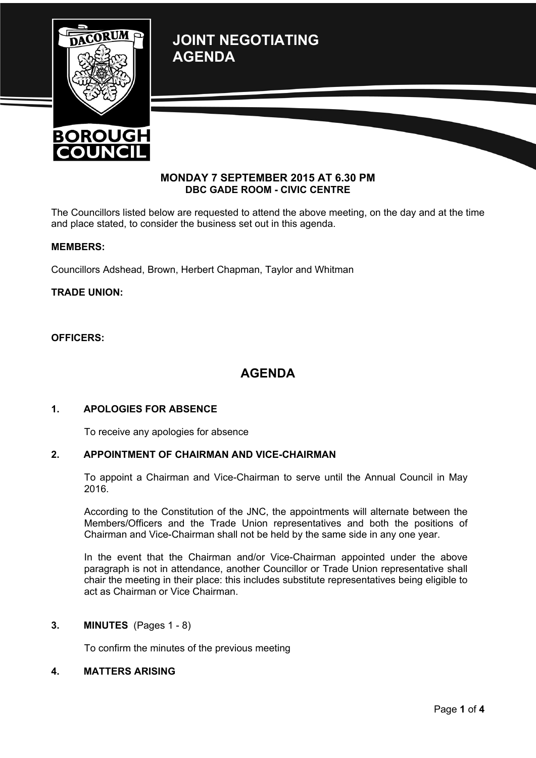**JOINT NEGOTIATING AGENDA**





### **MONDAY 7 SEPTEMBER 2015 AT 6.30 PM DBC GADE ROOM - CIVIC CENTRE**

The Councillors listed below are requested to attend the above meeting, on the day and at the time and place stated, to consider the business set out in this agenda.

### **MEMBERS:**

Councillors Adshead, Brown, Herbert Chapman, Taylor and Whitman

### **TRADE UNION:**

#### **OFFICERS:**

## **AGENDA**

### **1. APOLOGIES FOR ABSENCE**

To receive any apologies for absence

### **2. APPOINTMENT OF CHAIRMAN AND VICE-CHAIRMAN**

To appoint a Chairman and Vice-Chairman to serve until the Annual Council in May 2016.

According to the Constitution of the JNC, the appointments will alternate between the Members/Officers and the Trade Union representatives and both the positions of Chairman and Vice-Chairman shall not be held by the same side in any one year.

In the event that the Chairman and/or Vice-Chairman appointed under the above paragraph is not in attendance, another Councillor or Trade Union representative shall chair the meeting in their place: this includes substitute representatives being eligible to act as Chairman or Vice Chairman.

### **3. MINUTES** (Pages 1 - 8)

To confirm the minutes of the previous meeting

### **4. MATTERS ARISING**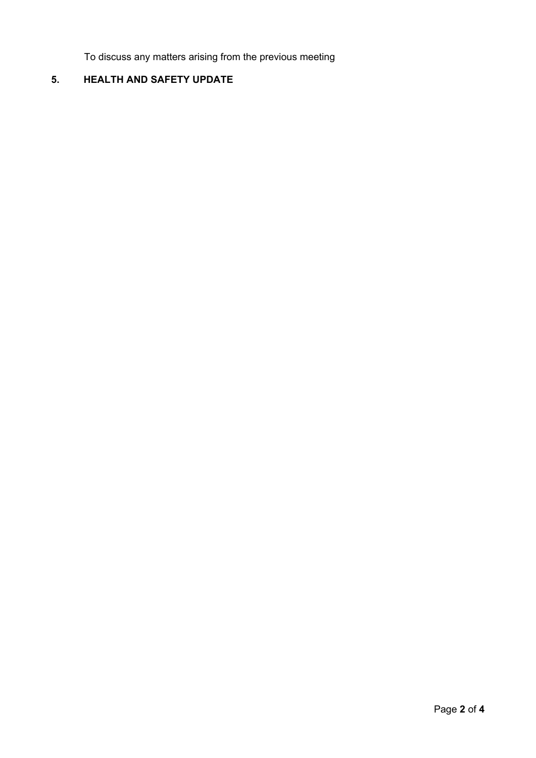To discuss any matters arising from the previous meeting

# **5. HEALTH AND SAFETY UPDATE**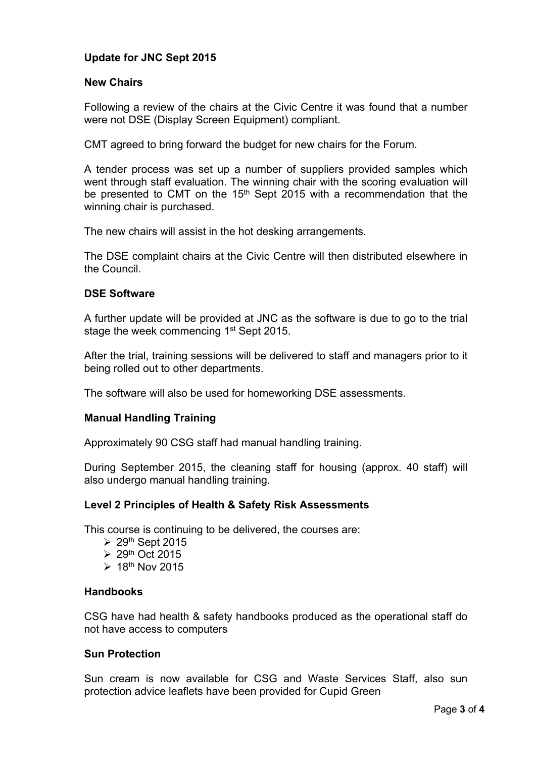### **Update for JNC Sept 2015**

### **New Chairs**

Following a review of the chairs at the Civic Centre it was found that a number were not DSE (Display Screen Equipment) compliant.

CMT agreed to bring forward the budget for new chairs for the Forum.

A tender process was set up a number of suppliers provided samples which went through staff evaluation. The winning chair with the scoring evaluation will be presented to CMT on the 15<sup>th</sup> Sept 2015 with a recommendation that the winning chair is purchased.

The new chairs will assist in the hot desking arrangements.

The DSE complaint chairs at the Civic Centre will then distributed elsewhere in the Council.

### **DSE Software**

A further update will be provided at JNC as the software is due to go to the trial stage the week commencing 1<sup>st</sup> Sept 2015.

After the trial, training sessions will be delivered to staff and managers prior to it being rolled out to other departments.

The software will also be used for homeworking DSE assessments.

### **Manual Handling Training**

Approximately 90 CSG staff had manual handling training.

During September 2015, the cleaning staff for housing (approx. 40 staff) will also undergo manual handling training.

### **Level 2 Principles of Health & Safety Risk Assessments**

This course is continuing to be delivered, the courses are:

- $\geq 29$ <sup>th</sup> Sept 2015
- $\geq 29$ <sup>th</sup> Oct 2015
- $\geq 18$ <sup>th</sup> Nov 2015

### **Handbooks**

CSG have had health & safety handbooks produced as the operational staff do not have access to computers

### **Sun Protection**

Sun cream is now available for CSG and Waste Services Staff, also sun protection advice leaflets have been provided for Cupid Green